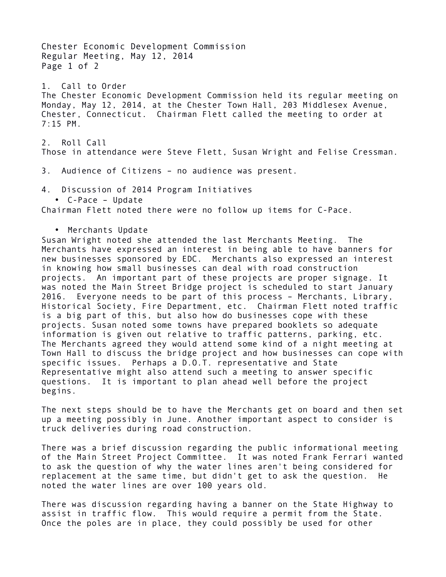Chester Economic Development Commission Regular Meeting, May 12, 2014 Page 1 of 2 1. Call to Order The Chester Economic Development Commission held its regular meeting on Monday, May 12, 2014, at the Chester Town Hall, 203 Middlesex Avenue, Chester, Connecticut. Chairman Flett called the meeting to order at 7:15 PM. 2. Roll Call Those in attendance were Steve Flett, Susan Wright and Felise Cressman. 3. Audience of Citizens – no audience was present. 4. Discussion of 2014 Program Initiatives • C-Pace – Update Chairman Flett noted there were no follow up items for C-Pace. • Merchants Update Susan Wright noted she attended the last Merchants Meeting. The Merchants have expressed an interest in being able to have banners for new businesses sponsored by EDC. Merchants also expressed an interest in knowing how small businesses can deal with road construction projects. An important part of these projects are proper signage. It was noted the Main Street Bridge project is scheduled to start January 2016. Everyone needs to be part of this process – Merchants, Library, Historical Society, Fire Department, etc. Chairman Flett noted traffic is a big part of this, but also how do businesses cope with these projects. Susan noted some towns have prepared booklets so adequate information is given out relative to traffic patterns, parking, etc. The Merchants agreed they would attend some kind of a night meeting at Town Hall to discuss the bridge project and how businesses can cope with specific issues. Perhaps a D.O.T. representative and State Representative might also attend such a meeting to answer specific questions. It is important to plan ahead well before the project begins.

The next steps should be to have the Merchants get on board and then set up a meeting possibly in June. Another important aspect to consider is truck deliveries during road construction.

There was a brief discussion regarding the public informational meeting of the Main Street Project Committee. It was noted Frank Ferrari wanted to ask the question of why the water lines aren't being considered for replacement at the same time, but didn't get to ask the question. He noted the water lines are over 100 years old.

There was discussion regarding having a banner on the State Highway to assist in traffic flow. This would require a permit from the State. Once the poles are in place, they could possibly be used for other